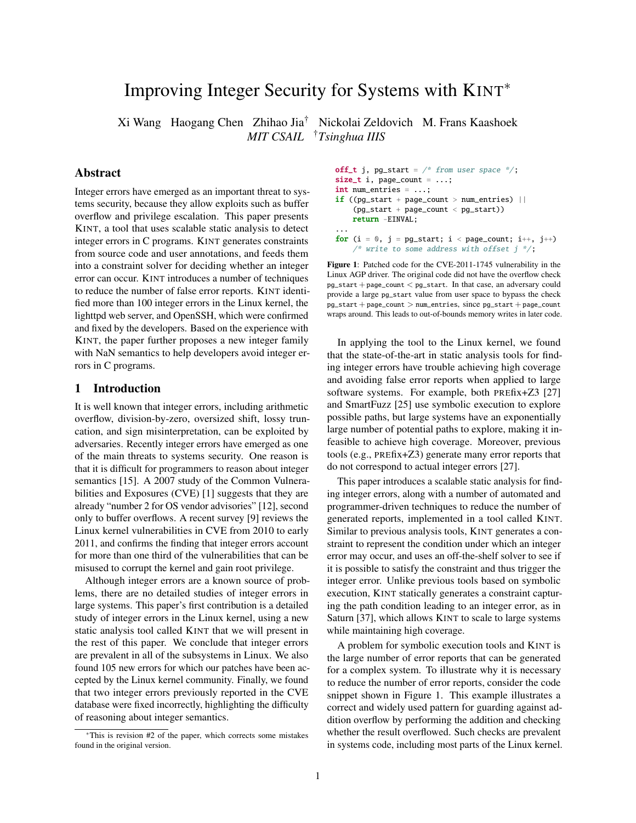# Improving Integer Security for Systems with KINT<sup>∗</sup>

Xi Wang Haogang Chen Zhihao Jia† Nickolai Zeldovich M. Frans Kaashoek *MIT CSAIL* †*Tsinghua IIIS*

# Abstract

Integer errors have emerged as an important threat to systems security, because they allow exploits such as buffer overflow and privilege escalation. This paper presents KINT, a tool that uses scalable static analysis to detect integer errors in C programs. KINT generates constraints from source code and user annotations, and feeds them into a constraint solver for deciding whether an integer error can occur. KINT introduces a number of techniques to reduce the number of false error reports. KINT identified more than 100 integer errors in the Linux kernel, the lighttpd web server, and OpenSSH, which were confirmed and fixed by the developers. Based on the experience with KINT, the paper further proposes a new integer family with NaN semantics to help developers avoid integer errors in C programs.

# <span id="page-0-1"></span>1 Introduction

It is well known that integer errors, including arithmetic overflow, division-by-zero, oversized shift, lossy truncation, and sign misinterpretation, can be exploited by adversaries. Recently integer errors have emerged as one of the main threats to systems security. One reason is that it is difficult for programmers to reason about integer semantics [\[15\]](#page-14-0). A 2007 study of the Common Vulnerabilities and Exposures (CVE) [\[1\]](#page-14-1) suggests that they are already "number 2 for OS vendor advisories" [\[12\]](#page-14-2), second only to buffer overflows. A recent survey [\[9\]](#page-14-3) reviews the Linux kernel vulnerabilities in CVE from 2010 to early 2011, and confirms the finding that integer errors account for more than one third of the vulnerabilities that can be misused to corrupt the kernel and gain root privilege.

Although integer errors are a known source of problems, there are no detailed studies of integer errors in large systems. This paper's first contribution is a detailed study of integer errors in the Linux kernel, using a new static analysis tool called KINT that we will present in the rest of this paper. We conclude that integer errors are prevalent in all of the subsystems in Linux. We also found 105 new errors for which our patches have been accepted by the Linux kernel community. Finally, we found that two integer errors previously reported in the CVE database were fixed incorrectly, highlighting the difficulty of reasoning about integer semantics.

```
off_t j, pg_start = /* from user space */;size_t i, page_count = ...;
int num_entries = ...;
if ((pg\_start + page\_count > num\_entries) ||(pg_start + page_count < pg_start))
   return -EINVAL;
...
for (i = 0, j = pg\_start; i < page_count; i++)/* write to some address with offset j */;
```
<span id="page-0-0"></span>Figure 1: Patched code for the CVE-2011-1745 vulnerability in the Linux AGP driver. The original code did not have the overflow check pg\_start + page\_count < pg\_start. In that case, an adversary could provide a large pg\_start value from user space to bypass the check pg\_start + page\_count > num\_entries, since pg\_start + page\_count wraps around. This leads to out-of-bounds memory writes in later code.

In applying the tool to the Linux kernel, we found that the state-of-the-art in static analysis tools for finding integer errors have trouble achieving high coverage and avoiding false error reports when applied to large software systems. For example, both PREfix+Z3 [\[27\]](#page-14-4) and SmartFuzz [\[25\]](#page-14-5) use symbolic execution to explore possible paths, but large systems have an exponentially large number of potential paths to explore, making it infeasible to achieve high coverage. Moreover, previous tools (e.g., PREfix+Z3) generate many error reports that do not correspond to actual integer errors [\[27\]](#page-14-4).

This paper introduces a scalable static analysis for finding integer errors, along with a number of automated and programmer-driven techniques to reduce the number of generated reports, implemented in a tool called KINT. Similar to previous analysis tools, KINT generates a constraint to represent the condition under which an integer error may occur, and uses an off-the-shelf solver to see if it is possible to satisfy the constraint and thus trigger the integer error. Unlike previous tools based on symbolic execution, KINT statically generates a constraint capturing the path condition leading to an integer error, as in Saturn [\[37\]](#page-14-6), which allows KINT to scale to large systems while maintaining high coverage.

A problem for symbolic execution tools and KINT is the large number of error reports that can be generated for a complex system. To illustrate why it is necessary to reduce the number of error reports, consider the code snippet shown in [Figure 1.](#page-0-0) This example illustrates a correct and widely used pattern for guarding against addition overflow by performing the addition and checking whether the result overflowed. Such checks are prevalent in systems code, including most parts of the Linux kernel.

<sup>∗</sup>This is revision #2 of the paper, which corrects some mistakes found in the original version.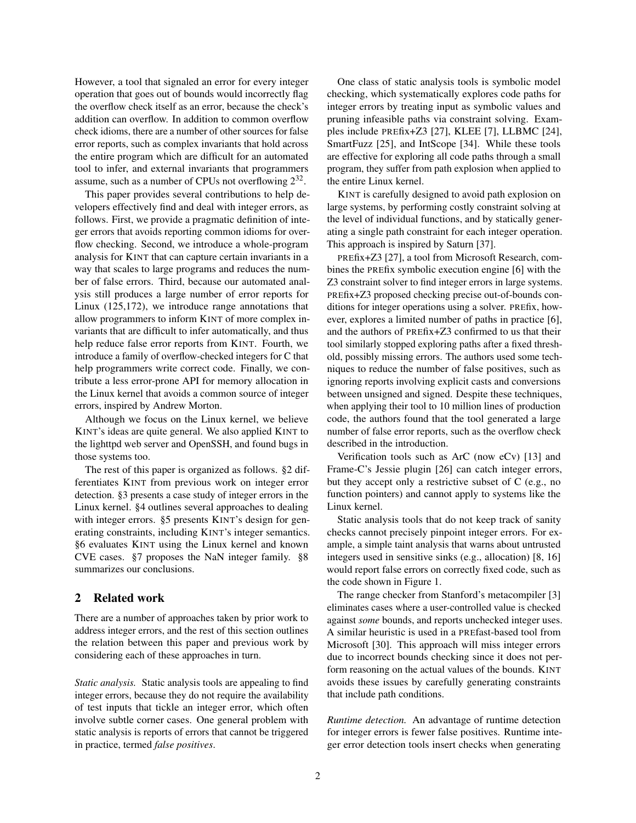However, a tool that signaled an error for every integer operation that goes out of bounds would incorrectly flag the overflow check itself as an error, because the check's addition can overflow. In addition to common overflow check idioms, there are a number of other sources for false error reports, such as complex invariants that hold across the entire program which are difficult for an automated tool to infer, and external invariants that programmers assume, such as a number of CPUs not overflowing  $2^{32}$ .

This paper provides several contributions to help developers effectively find and deal with integer errors, as follows. First, we provide a pragmatic definition of integer errors that avoids reporting common idioms for overflow checking. Second, we introduce a whole-program analysis for KINT that can capture certain invariants in a way that scales to large programs and reduces the number of false errors. Third, because our automated analysis still produces a large number of error reports for Linux (125,172), we introduce range annotations that allow programmers to inform KINT of more complex invariants that are difficult to infer automatically, and thus help reduce false error reports from KINT. Fourth, we introduce a family of overflow-checked integers for C that help programmers write correct code. Finally, we contribute a less error-prone API for memory allocation in the Linux kernel that avoids a common source of integer errors, inspired by Andrew Morton.

Although we focus on the Linux kernel, we believe KINT's ideas are quite general. We also applied KINT to the lighttpd web server and OpenSSH, and found bugs in those systems too.

The rest of this paper is organized as follows. [§2](#page-1-0) differentiates KINT from previous work on integer error detection. [§3](#page-2-0) presents a case study of integer errors in the Linux kernel. [§4](#page-5-0) outlines several approaches to dealing with integer errors. [§5](#page-6-0) presents KINT's design for generating constraints, including KINT's integer semantics. [§6](#page-10-0) evaluates KINT using the Linux kernel and known CVE cases. [§7](#page-12-0) proposes the NaN integer family. [§8](#page-13-0) summarizes our conclusions.

# <span id="page-1-0"></span>2 Related work

There are a number of approaches taken by prior work to address integer errors, and the rest of this section outlines the relation between this paper and previous work by considering each of these approaches in turn.

*Static analysis.* Static analysis tools are appealing to find integer errors, because they do not require the availability of test inputs that tickle an integer error, which often involve subtle corner cases. One general problem with static analysis is reports of errors that cannot be triggered in practice, termed *false positives*.

One class of static analysis tools is symbolic model checking, which systematically explores code paths for integer errors by treating input as symbolic values and pruning infeasible paths via constraint solving. Examples include PREfix+Z3 [\[27\]](#page-14-4), KLEE [\[7\]](#page-14-7), LLBMC [\[24\]](#page-14-8), SmartFuzz [\[25\]](#page-14-5), and IntScope [\[34\]](#page-14-9). While these tools are effective for exploring all code paths through a small program, they suffer from path explosion when applied to the entire Linux kernel.

KINT is carefully designed to avoid path explosion on large systems, by performing costly constraint solving at the level of individual functions, and by statically generating a single path constraint for each integer operation. This approach is inspired by Saturn [\[37\]](#page-14-6).

PREfix+Z3 [\[27\]](#page-14-4), a tool from Microsoft Research, combines the PREfix symbolic execution engine [\[6\]](#page-14-10) with the Z3 constraint solver to find integer errors in large systems. PREfix+Z3 proposed checking precise out-of-bounds conditions for integer operations using a solver. PREfix, however, explores a limited number of paths in practice [\[6\]](#page-14-10), and the authors of PREfix+Z3 confirmed to us that their tool similarly stopped exploring paths after a fixed threshold, possibly missing errors. The authors used some techniques to reduce the number of false positives, such as ignoring reports involving explicit casts and conversions between unsigned and signed. Despite these techniques, when applying their tool to 10 million lines of production code, the authors found that the tool generated a large number of false error reports, such as the overflow check described in the introduction.

Verification tools such as ArC (now eCv) [\[13\]](#page-14-11) and Frame-C's Jessie plugin [\[26\]](#page-14-12) can catch integer errors, but they accept only a restrictive subset of C (e.g., no function pointers) and cannot apply to systems like the Linux kernel.

Static analysis tools that do not keep track of sanity checks cannot precisely pinpoint integer errors. For example, a simple taint analysis that warns about untrusted integers used in sensitive sinks (e.g., allocation) [\[8,](#page-14-13) [16\]](#page-14-14) would report false errors on correctly fixed code, such as the code shown in [Figure 1.](#page-0-0)

The range checker from Stanford's metacompiler [\[3\]](#page-14-15) eliminates cases where a user-controlled value is checked against *some* bounds, and reports unchecked integer uses. A similar heuristic is used in a PREfast-based tool from Microsoft [\[30\]](#page-14-16). This approach will miss integer errors due to incorrect bounds checking since it does not perform reasoning on the actual values of the bounds. KINT avoids these issues by carefully generating constraints that include path conditions.

*Runtime detection.* An advantage of runtime detection for integer errors is fewer false positives. Runtime integer error detection tools insert checks when generating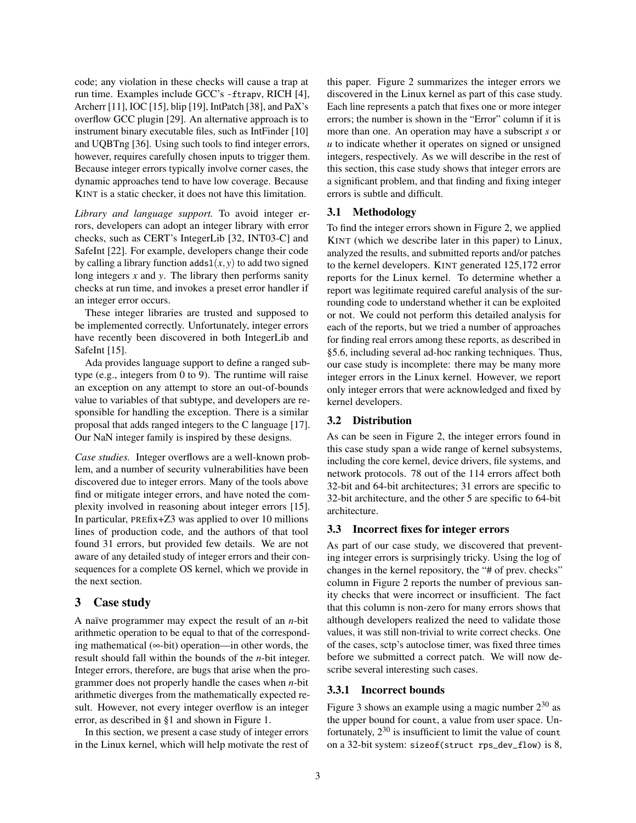code; any violation in these checks will cause a trap at run time. Examples include GCC's -ftrapv, RICH [\[4\]](#page-14-17), Archerr [\[11\]](#page-14-18), IOC [\[15\]](#page-14-0), blip [\[19\]](#page-14-19), IntPatch [\[38\]](#page-14-20), and PaX's overflow GCC plugin [\[29\]](#page-14-21). An alternative approach is to instrument binary executable files, such as IntFinder [\[10\]](#page-14-22) and UQBTng [\[36\]](#page-14-23). Using such tools to find integer errors, however, requires carefully chosen inputs to trigger them. Because integer errors typically involve corner cases, the dynamic approaches tend to have low coverage. Because KINT is a static checker, it does not have this limitation.

*Library and language support.* To avoid integer errors, developers can adopt an integer library with error checks, such as CERT's IntegerLib [\[32,](#page-14-24) INT03-C] and SafeInt [\[22\]](#page-14-25). For example, developers change their code by calling a library function  $\text{adds1}(x, y)$  to add two signed long integers *x* and *y*. The library then performs sanity checks at run time, and invokes a preset error handler if an integer error occurs.

These integer libraries are trusted and supposed to be implemented correctly. Unfortunately, integer errors have recently been discovered in both IntegerLib and SafeInt [\[15\]](#page-14-0).

Ada provides language support to define a ranged subtype (e.g., integers from 0 to 9). The runtime will raise an exception on any attempt to store an out-of-bounds value to variables of that subtype, and developers are responsible for handling the exception. There is a similar proposal that adds ranged integers to the C language [\[17\]](#page-14-26). Our NaN integer family is inspired by these designs.

*Case studies.* Integer overflows are a well-known problem, and a number of security vulnerabilities have been discovered due to integer errors. Many of the tools above find or mitigate integer errors, and have noted the complexity involved in reasoning about integer errors [\[15\]](#page-14-0). In particular, PREfix+Z3 was applied to over 10 millions lines of production code, and the authors of that tool found 31 errors, but provided few details. We are not aware of any detailed study of integer errors and their consequences for a complete OS kernel, which we provide in the next section.

# <span id="page-2-0"></span>3 Case study

A naïve programmer may expect the result of an *n*-bit arithmetic operation to be equal to that of the corresponding mathematical (∞-bit) operation—in other words, the result should fall within the bounds of the *n*-bit integer. Integer errors, therefore, are bugs that arise when the programmer does not properly handle the cases when *n*-bit arithmetic diverges from the mathematically expected result. However, not every integer overflow is an integer error, as described in [§1](#page-0-1) and shown in [Figure 1.](#page-0-0)

In this section, we present a case study of integer errors in the Linux kernel, which will help motivate the rest of this paper. [Figure 2](#page-3-0) summarizes the integer errors we discovered in the Linux kernel as part of this case study. Each line represents a patch that fixes one or more integer errors; the number is shown in the "Error" column if it is more than one. An operation may have a subscript *s* or *u* to indicate whether it operates on signed or unsigned integers, respectively. As we will describe in the rest of this section, this case study shows that integer errors are a significant problem, and that finding and fixing integer errors is subtle and difficult.

# 3.1 Methodology

To find the integer errors shown in [Figure 2,](#page-3-0) we applied KINT (which we describe later in this paper) to Linux, analyzed the results, and submitted reports and/or patches to the kernel developers. KINT generated 125,172 error reports for the Linux kernel. To determine whether a report was legitimate required careful analysis of the surrounding code to understand whether it can be exploited or not. We could not perform this detailed analysis for each of the reports, but we tried a number of approaches for finding real errors among these reports, as described in [§5.6,](#page-9-0) including several ad-hoc ranking techniques. Thus, our case study is incomplete: there may be many more integer errors in the Linux kernel. However, we report only integer errors that were acknowledged and fixed by kernel developers.

#### 3.2 Distribution

As can be seen in [Figure 2,](#page-3-0) the integer errors found in this case study span a wide range of kernel subsystems, including the core kernel, device drivers, file systems, and network protocols. 78 out of the 114 errors affect both 32-bit and 64-bit architectures; 31 errors are specific to 32-bit architecture, and the other 5 are specific to 64-bit architecture.

#### 3.3 Incorrect fixes for integer errors

As part of our case study, we discovered that preventing integer errors is surprisingly tricky. Using the log of changes in the kernel repository, the "# of prev. checks" column in [Figure 2](#page-3-0) reports the number of previous sanity checks that were incorrect or insufficient. The fact that this column is non-zero for many errors shows that although developers realized the need to validate those values, it was still non-trivial to write correct checks. One of the cases, sctp's autoclose timer, was fixed three times before we submitted a correct patch. We will now describe several interesting such cases.

# <span id="page-2-1"></span>3.3.1 Incorrect bounds

[Figure 3](#page-4-0) shows an example using a magic number  $2^{30}$  as the upper bound for count, a value from user space. Unfortunately,  $2^{30}$  is insufficient to limit the value of count on a 32-bit system: sizeof(struct rps\_dev\_flow) is 8,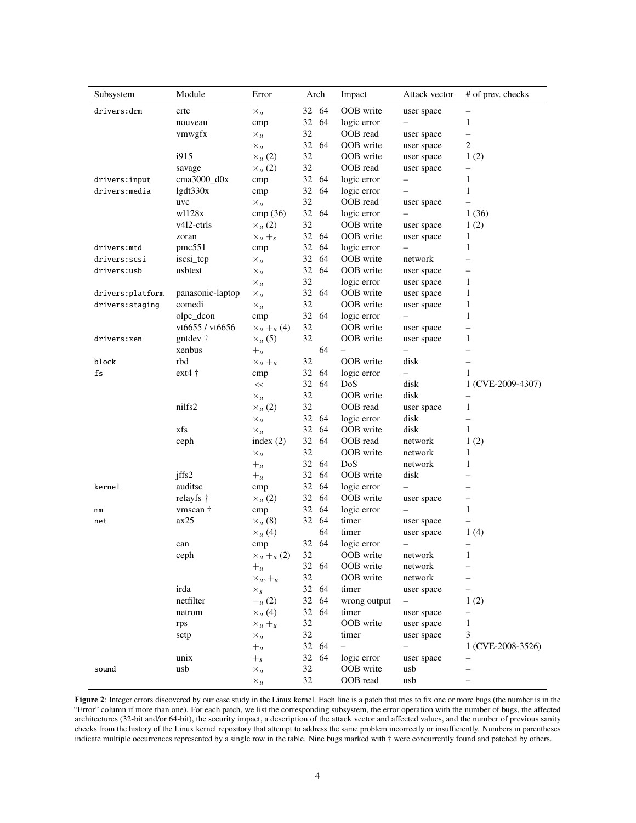| Subsystem        | Module            | Error                      | Arch     | Impact                   | Attack vector     | # of prev. checks        |
|------------------|-------------------|----------------------------|----------|--------------------------|-------------------|--------------------------|
| drivers:drm      | crtc              | $\times_u$                 | 32 64    | OOB write                | user space        | -                        |
|                  | nouveau           | cmp                        | 32<br>64 | logic error              |                   | 1                        |
|                  | vmwgfx            | $\times_u$                 | 32       | OOB read                 | user space        | —                        |
|                  |                   | $\times_u$                 | 32 64    | OOB write                | user space        | $\overline{\mathbf{c}}$  |
|                  | i915              | $\times_u(2)$              | 32       | OOB write                | user space        | 1(2)                     |
|                  | savage            | $\times$ <sub>u</sub> (2)  | 32       | OOB read                 | user space        | -                        |
| drivers: input   | $cma3000_d0x$     | cmp                        | 32 64    | logic error              |                   | 1                        |
| drivers: media   | lgdt330x          | cmp                        | 32<br>64 | logic error              |                   | $\mathbf{1}$             |
|                  | uvc               | $\times_u$                 | 32       | OOB read                 | user space        |                          |
|                  | w1128x            | cmp(36)                    | 32<br>64 | logic error              |                   | 1(36)                    |
|                  | v412-ctrls        | $\times_u(2)$              | 32       | OOB write                | user space        | 1(2)                     |
|                  | zoran             | $\times_u +_s$             | 32 64    | OOB write                | user space        | 1                        |
| drivers:mtd      | pmc551            | cmp                        | 32<br>64 | logic error              |                   | 1                        |
| drivers:scsi     | iscsi_tcp         | $\times_u$                 | 32<br>64 | OOB write                | network           | ٠                        |
| drivers:usb      | usbtest           | $\times_u$                 | 32 64    | OOB write                | user space        | —                        |
|                  |                   | $\times_u$                 | 32       | logic error              | user space        | 1                        |
| drivers:platform | panasonic-laptop  | $\times_u$                 | 32<br>64 | OOB write                | user space        | 1                        |
| drivers: staging | comedi            | $\times_u$                 | 32       | OOB write                | user space        | 1                        |
|                  | olpc_dcon         | cmp                        | 64<br>32 | logic error              |                   | 1                        |
|                  | vt6655 / vt6656   | $\times_u +_u (4)$         | 32       | OOB write                | user space        |                          |
| drivers:xen      | gntdev $\dagger$  | $\times_{\mu}$ (5)         | 32       | OOB write                | user space        | 1                        |
|                  | xenbus            | $+$ u                      | 64       |                          |                   | —                        |
| block            | rbd               | $\times_u +_u$             | 32       | OOB write                | disk              | —                        |
| fs               | $ext{4}$ †        | cmp                        | 32<br>64 | logic error              |                   | 1                        |
|                  |                   | $<<$                       | 32<br>64 | DoS                      | disk              | 1 (CVE-2009-4307)        |
|                  |                   | $\times_u$                 | 32       | OOB write                | disk              |                          |
|                  | nilfs2            | $\times_u(2)$              | 32       | OOB read                 | user space        | 1                        |
|                  |                   | $\times_u$                 | 32<br>64 | logic error              | disk              | $\overline{\phantom{0}}$ |
|                  | xfs               | $\times_u$                 | 32 64    | OOB write                | disk              | $\mathbf{1}$             |
|                  | ceph              | index $(2)$                | 32 64    | OOB read                 | network           | 1(2)                     |
|                  |                   | $\times_u$                 | 32       | OOB write                | network           | 1                        |
|                  |                   | $+$ u                      | 32 64    | DoS                      | network           | 1                        |
|                  | iffs2             | $+$ u                      | 32 64    | OOB write                | disk              |                          |
| kernel           | auditsc           | cmp                        | 32 64    | logic error              |                   |                          |
|                  | relayfs $\dagger$ | $\times_{u}(2)$            | 32 64    | OOB write                | user space        | —                        |
| mm               | vmscan †          | cmp                        | 32<br>64 | logic error              |                   | 1                        |
| net              | ax25              | $\times_{\mu}$ (8)         | 32 64    | timer                    | user space        |                          |
|                  |                   | $\times$ <sub>u</sub> (4)  | 64       | timer                    | user space        | 1(4)                     |
|                  | can               | cmp                        | 32 64    | logic error              | -                 |                          |
|                  | ceph              | $\times_u +_u (2)$         | 32       | OOB write                | network           | 1                        |
|                  |                   | $+$ u                      | 32 64    | OOB write                | network           |                          |
|                  |                   | $\times_u$ , $+_u$         | 32       | OOB write                | network           |                          |
|                  | irda              |                            | 32 64    | timer                    | user space        |                          |
|                  | netfilter         | $\times_{s}$<br>$-_{u}(2)$ | 32 64    | wrong output             |                   | 1(2)                     |
|                  | netrom            | $\times_u$ (4)             | 32 64    | timer                    | user space        | $\overline{\phantom{0}}$ |
|                  |                   |                            | 32       | OOB write                |                   |                          |
|                  | rps               | $\times_u +_u$             | 32       |                          | user space        | 1<br>3                   |
|                  | sctp              | $\times_u$                 | 32 64    | timer                    | user space<br>$-$ |                          |
|                  |                   | $+$ u                      |          |                          |                   | 1 (CVE-2008-3526)        |
|                  | unix              | $+$ <sub>s</sub>           | 32 64    | logic error<br>OOB write | user space        |                          |
| sound            | usb               | $\times_u$                 | 32       |                          | usb               |                          |
|                  |                   | $\times_u$                 | 32       | OOB read                 | usb               |                          |

<span id="page-3-0"></span>Figure 2: Integer errors discovered by our case study in the Linux kernel. Each line is a patch that tries to fix one or more bugs (the number is in the "Error" column if more than one). For each patch, we list the corresponding subsystem, the error operation with the number of bugs, the affected architectures (32-bit and/or 64-bit), the security impact, a description of the attack vector and affected values, and the number of previous sanity checks from the history of the Linux kernel repository that attempt to address the same problem incorrectly or insufficiently. Numbers in parentheses indicate multiple occurrences represented by a single row in the table. Nine bugs marked with † were concurrently found and patched by others.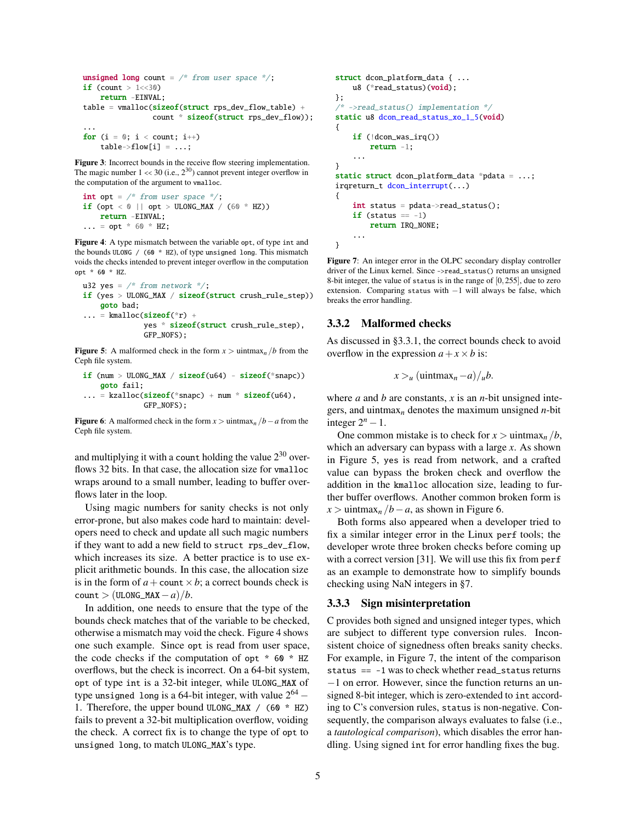```
unsigned long count = /* from user space */;
if (count > 1 << 30)
    return -EINVAL;
table = \text{vmalloc}(\text{size}f(\text{struct} \text{rps\_dev\_flow\_table}) +count * sizeof(struct rps_dev_flow));
...
```
for  $(i = 0; i < count; i++)$ table->flow[i] = ...;

<span id="page-4-0"></span>Figure 3: Incorrect bounds in the receive flow steering implementation. The magic number  $1 \ll 30$  (i.e.,  $2^{30}$ ) cannot prevent integer overflow in the computation of the argument to vmalloc.

```
int opt = \frac{*}{*} from user space \frac{*}{*};
if (opt < 0 || opt > ULONG_MAX / (60 * HZ))return -EINVAL;
... = opt * 60 * HZ;
```
<span id="page-4-1"></span>Figure 4: A type mismatch between the variable opt, of type int and the bounds ULONG / (60 \* HZ), of type unsigned long. This mismatch voids the checks intended to prevent integer overflow in the computation opt \* 60 \* HZ.

```
u32 yes = /* from network */;
if (yes > ULONG_MAX / sizeof(struct crush_rule_step))
    goto bad;
\ldots = kmalloc(sizeof(*r) +
              yes * sizeof(struct crush_rule_step),
              GFP_NOFS);
```
<span id="page-4-2"></span>**Figure 5:** A malformed check in the form  $x >$  uintmax<sub>n</sub> /*b* from the Ceph file system.

```
if (num > ULONG_MAX / sizeof(u64) - sizeof(*snapc))
   goto fail;
... = kzalloc(sizeof(*snapc) + num * sizeof(uf4),GFP_NOFS);
```
<span id="page-4-3"></span>Figure 6: A malformed check in the form  $x >$  uintmax<sub>*n*</sub> /*b* − *a* from the Ceph file system.

and multiplying it with a count holding the value  $2^{30}$  overflows 32 bits. In that case, the allocation size for vmalloc wraps around to a small number, leading to buffer overflows later in the loop.

Using magic numbers for sanity checks is not only error-prone, but also makes code hard to maintain: developers need to check and update all such magic numbers if they want to add a new field to struct rps\_dev\_flow, which increases its size. A better practice is to use explicit arithmetic bounds. In this case, the allocation size is in the form of  $a$  + count  $\times$  *b*; a correct bounds check is  $count$  > (ULONG\_MAX - *a*)/*b*.

In addition, one needs to ensure that the type of the bounds check matches that of the variable to be checked, otherwise a mismatch may void the check. [Figure 4](#page-4-1) shows one such example. Since opt is read from user space, the code checks if the computation of opt  $*$  60  $*$  HZ overflows, but the check is incorrect. On a 64-bit system, opt of type int is a 32-bit integer, while ULONG\_MAX of type unsigned long is a 64-bit integer, with value  $2^{64}$   $-$ 1. Therefore, the upper bound ULONG\_MAX / (60 \* HZ) fails to prevent a 32-bit multiplication overflow, voiding the check. A correct fix is to change the type of opt to unsigned long, to match ULONG\_MAX's type.

```
struct dcon platform data { ...
    u8 (*read_status)(void);
};
/* ->read_status() implementation */
static u8 dcon_read_status_xo_1_5(void)
{
    if (!dcon_was_irq())
        return -1;
    ...
}
static struct dcon_platform_data *pdata = \dots;
irqreturn_t dcon_interrupt(...)
{
    int status = pdata->read_status();
    if (status == -1)return IRQ_NONE;
    ...
}
```
<span id="page-4-4"></span>Figure 7: An integer error in the OLPC secondary display controller driver of the Linux kernel. Since ->read\_status() returns an unsigned 8-bit integer, the value of status is in the range of [0,255], due to zero extension. Comparing status with −1 will always be false, which breaks the error handling.

## <span id="page-4-6"></span>3.3.2 Malformed checks

As discussed in [§3.3.1,](#page-2-1) the correct bounds check to avoid overflow in the expression  $a + x \times b$  is:

$$
x >_{u} (\text{uintmax}_{n} -a)/_{u}b.
$$

where *a* and *b* are constants, *x* is an *n*-bit unsigned integers, and uintmax*<sup>n</sup>* denotes the maximum unsigned *n*-bit integer  $2^n - 1$ .

One common mistake is to check for  $x >$  uintmax<sub>n</sub> /*b*, which an adversary can bypass with a large *x*. As shown in [Figure 5,](#page-4-2) yes is read from network, and a crafted value can bypass the broken check and overflow the addition in the kmalloc allocation size, leading to further buffer overflows. Another common broken form is  $x >$  uintmax<sub>*n*</sub> /*b*−*a*, as shown in [Figure 6.](#page-4-3)

Both forms also appeared when a developer tried to fix a similar integer error in the Linux perf tools; the developer wrote three broken checks before coming up with a correct version [\[31\]](#page-14-27). We will use this fix from perf as an example to demonstrate how to simplify bounds checking using NaN integers in [§7.](#page-12-0)

# <span id="page-4-5"></span>3.3.3 Sign misinterpretation

C provides both signed and unsigned integer types, which are subject to different type conversion rules. Inconsistent choice of signedness often breaks sanity checks. For example, in [Figure 7,](#page-4-4) the intent of the comparison status == -1 was to check whether read\_status returns −1 on error. However, since the function returns an unsigned 8-bit integer, which is zero-extended to int according to C's conversion rules, status is non-negative. Consequently, the comparison always evaluates to false (i.e., a *tautological comparison*), which disables the error handling. Using signed int for error handling fixes the bug.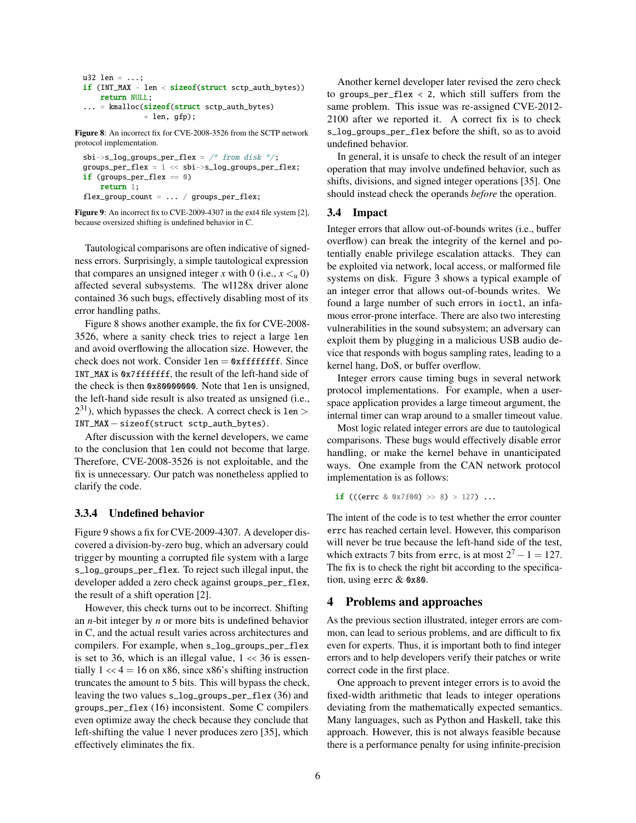```
u32 len = ...;
if (INT_MAX - len < sizeof(struct sctp_auth_bytes))
    return NULL;
... = kmalloc(sizeof(struct sctp_auth_bytes)
              + len, gfp);
```
<span id="page-5-1"></span>Figure 8: An incorrect fix for CVE-2008-3526 from the SCTP network protocol implementation.

```
sbi->s_log_groups_per_flex = /* from disk */;groups_per_flex = 1 << sbi->s_log_groups_per_flex;
if (groups_per_flex == 0)
   return 1;
flex_group_count = ... / groups_per_flex;
```
<span id="page-5-2"></span>Figure 9: An incorrect fix to CVE-2009-4307 in the ext4 file system [\[2\]](#page-14-28), because oversized shifting is undefined behavior in C.

Tautological comparisons are often indicative of signedness errors. Surprisingly, a simple tautological expression that compares an unsigned integer *x* with 0 (i.e.,  $x \leq u$  0) affected several subsystems. The wl128x driver alone contained 36 such bugs, effectively disabling most of its error handling paths.

[Figure 8](#page-5-1) shows another example, the fix for CVE-2008- 3526, where a sanity check tries to reject a large len and avoid overflowing the allocation size. However, the check does not work. Consider  $len = 0xffffffff$ . Since INT MAX is 0x7ffffffff, the result of the left-hand side of the check is then 0x80000000. Note that len is unsigned, the left-hand side result is also treated as unsigned (i.e.,  $2^{31}$ ), which bypasses the check. A correct check is  $1en >$ INT\_MAX−sizeof(struct sctp\_auth\_bytes).

After discussion with the kernel developers, we came to the conclusion that len could not become that large. Therefore, CVE-2008-3526 is not exploitable, and the fix is unnecessary. Our patch was nonetheless applied to clarify the code.

# <span id="page-5-3"></span>3.3.4 Undefined behavior

[Figure 9](#page-5-2) shows a fix for CVE-2009-4307. A developer discovered a division-by-zero bug, which an adversary could trigger by mounting a corrupted file system with a large s\_log\_groups\_per\_flex. To reject such illegal input, the developer added a zero check against groups\_per\_flex, the result of a shift operation [\[2\]](#page-14-28).

However, this check turns out to be incorrect. Shifting an *n*-bit integer by *n* or more bits is undefined behavior in C, and the actual result varies across architectures and compilers. For example, when s\_log\_groups\_per\_flex is set to 36, which is an illegal value,  $1 \ll 36$  is essentially  $1 \ll 4 = 16$  on x86, since x86's shifting instruction truncates the amount to 5 bits. This will bypass the check, leaving the two values s\_log\_groups\_per\_flex (36) and groups\_per\_flex (16) inconsistent. Some C compilers even optimize away the check because they conclude that left-shifting the value 1 never produces zero [\[35\]](#page-14-29), which effectively eliminates the fix.

Another kernel developer later revised the zero check to groups\_per\_flex  $\langle 2, \text{ which still suffers from the}$ same problem. This issue was re-assigned CVE-2012- 2100 after we reported it. A correct fix is to check s\_log\_groups\_per\_flex before the shift, so as to avoid undefined behavior.

In general, it is unsafe to check the result of an integer operation that may involve undefined behavior, such as shifts, divisions, and signed integer operations [\[35\]](#page-14-29). One should instead check the operands *before* the operation.

## 3.4 Impact

Integer errors that allow out-of-bounds writes (i.e., buffer overflow) can break the integrity of the kernel and potentially enable privilege escalation attacks. They can be exploited via network, local access, or malformed file systems on disk. [Figure 3](#page-4-0) shows a typical example of an integer error that allows out-of-bounds writes. We found a large number of such errors in ioctl, an infamous error-prone interface. There are also two interesting vulnerabilities in the sound subsystem; an adversary can exploit them by plugging in a malicious USB audio device that responds with bogus sampling rates, leading to a kernel hang, DoS, or buffer overflow.

Integer errors cause timing bugs in several network protocol implementations. For example, when a userspace application provides a large timeout argument, the internal timer can wrap around to a smaller timeout value.

Most logic related integer errors are due to tautological comparisons. These bugs would effectively disable error handling, or make the kernel behave in unanticipated ways. One example from the CAN network protocol implementation is as follows:

if (((errc & 0x7f00) >> 8) > 127) ...

The intent of the code is to test whether the error counter errc has reached certain level. However, this comparison will never be true because the left-hand side of the test, which extracts 7 bits from errc, is at most  $2^7 - 1 = 127$ . The fix is to check the right bit according to the specification, using errc & 0x80.

# <span id="page-5-0"></span>4 Problems and approaches

As the previous section illustrated, integer errors are common, can lead to serious problems, and are difficult to fix even for experts. Thus, it is important both to find integer errors and to help developers verify their patches or write correct code in the first place.

One approach to prevent integer errors is to avoid the fixed-width arithmetic that leads to integer operations deviating from the mathematically expected semantics. Many languages, such as Python and Haskell, take this approach. However, this is not always feasible because there is a performance penalty for using infinite-precision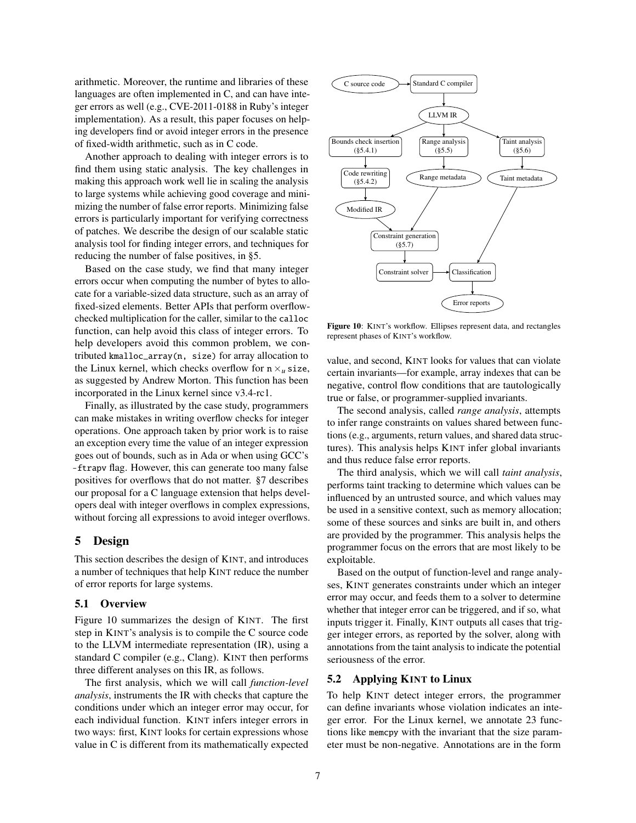arithmetic. Moreover, the runtime and libraries of these languages are often implemented in C, and can have integer errors as well (e.g., CVE-2011-0188 in Ruby's integer implementation). As a result, this paper focuses on helping developers find or avoid integer errors in the presence of fixed-width arithmetic, such as in C code.

Another approach to dealing with integer errors is to find them using static analysis. The key challenges in making this approach work well lie in scaling the analysis to large systems while achieving good coverage and minimizing the number of false error reports. Minimizing false errors is particularly important for verifying correctness of patches. We describe the design of our scalable static analysis tool for finding integer errors, and techniques for reducing the number of false positives, in [§5.](#page-6-0)

Based on the case study, we find that many integer errors occur when computing the number of bytes to allocate for a variable-sized data structure, such as an array of fixed-sized elements. Better APIs that perform overflowchecked multiplication for the caller, similar to the calloc function, can help avoid this class of integer errors. To help developers avoid this common problem, we contributed kmalloc\_array(n, size) for array allocation to the Linux kernel, which checks overflow for  $n \times u$  size, as suggested by Andrew Morton. This function has been incorporated in the Linux kernel since v3.4-rc1.

Finally, as illustrated by the case study, programmers can make mistakes in writing overflow checks for integer operations. One approach taken by prior work is to raise an exception every time the value of an integer expression goes out of bounds, such as in Ada or when using GCC's -ftrapv flag. However, this can generate too many false positives for overflows that do not matter. [§7](#page-12-0) describes our proposal for a C language extension that helps developers deal with integer overflows in complex expressions, without forcing all expressions to avoid integer overflows.

# <span id="page-6-0"></span>5 Design

This section describes the design of KINT, and introduces a number of techniques that help KINT reduce the number of error reports for large systems.

#### 5.1 Overview

[Figure 10](#page-6-1) summarizes the design of KINT. The first step in KINT's analysis is to compile the C source code to the LLVM intermediate representation (IR), using a standard C compiler (e.g., Clang). KINT then performs three different analyses on this IR, as follows.

The first analysis, which we will call *function-level analysis*, instruments the IR with checks that capture the conditions under which an integer error may occur, for each individual function. KINT infers integer errors in two ways: first, KINT looks for certain expressions whose value in C is different from its mathematically expected



<span id="page-6-1"></span>Figure 10: KINT's workflow. Ellipses represent data, and rectangles represent phases of KINT's workflow.

value, and second, KINT looks for values that can violate certain invariants—for example, array indexes that can be negative, control flow conditions that are tautologically true or false, or programmer-supplied invariants.

The second analysis, called *range analysis*, attempts to infer range constraints on values shared between functions (e.g., arguments, return values, and shared data structures). This analysis helps KINT infer global invariants and thus reduce false error reports.

The third analysis, which we will call *taint analysis*, performs taint tracking to determine which values can be influenced by an untrusted source, and which values may be used in a sensitive context, such as memory allocation; some of these sources and sinks are built in, and others are provided by the programmer. This analysis helps the programmer focus on the errors that are most likely to be exploitable.

Based on the output of function-level and range analyses, KINT generates constraints under which an integer error may occur, and feeds them to a solver to determine whether that integer error can be triggered, and if so, what inputs trigger it. Finally, KINT outputs all cases that trigger integer errors, as reported by the solver, along with annotations from the taint analysis to indicate the potential seriousness of the error.

# <span id="page-6-2"></span>5.2 Applying KINT to Linux

To help KINT detect integer errors, the programmer can define invariants whose violation indicates an integer error. For the Linux kernel, we annotate 23 functions like memcpy with the invariant that the size parameter must be non-negative. Annotations are in the form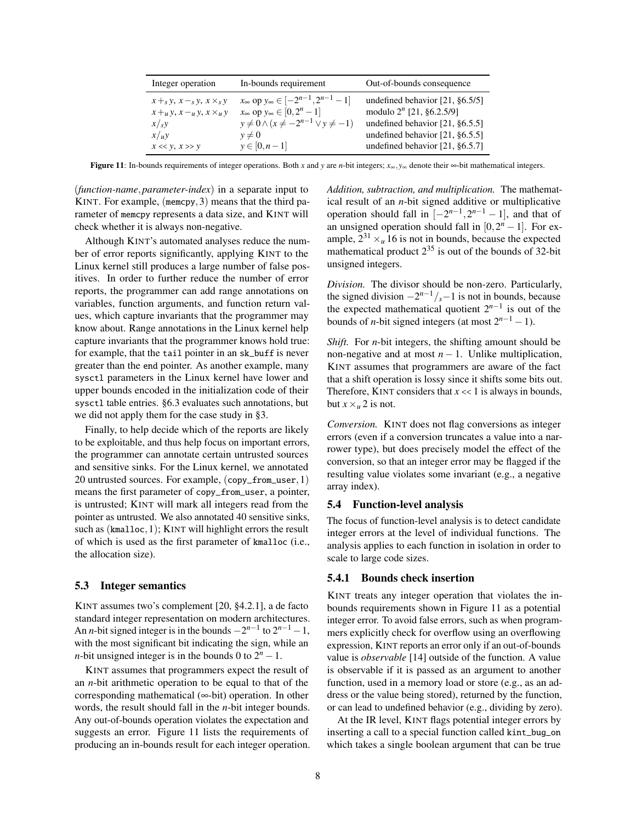| Integer operation                                                                | In-bounds requirement                                                                                       | Out-of-bounds consequence                                        |
|----------------------------------------------------------------------------------|-------------------------------------------------------------------------------------------------------------|------------------------------------------------------------------|
| $x +_{s} y, x -_{s} y, x \times_{s} y$<br>$x+_{u}y$ , $x-u y$ , $x \times_{u} y$ | $x_{\infty}$ op $y_{\infty} \in [-2^{n-1}, 2^{n-1} - 1]$<br>$x_{\infty}$ op $y_{\infty} \in [0, 2^{n} - 1]$ | undefined behavior $[21, §6.5/5]$<br>modulo $2^n$ [21, §6.2.5/9] |
| x/sy                                                                             | $y\neq 0 \wedge (x \neq -2^{n-1} \vee y \neq -1)$                                                           | undefined behavior $[21, §6.5.5]$                                |
| x/uy                                                                             | $v \neq 0$                                                                                                  | undefined behavior $[21, §6.5.5]$                                |
| $x \ll y, x \gg y$                                                               | $y \in [0, n-1]$                                                                                            | undefined behavior $[21, §6.5.7]$                                |

<span id="page-7-1"></span>Figure 11: In-bounds requirements of integer operations. Both *x* and *y* are *n*-bit integers;  $x_{\infty}$ ,  $y_{\infty}$  denote their  $\infty$ -bit mathematical integers.

(*function-name*,*parameter-index*) in a separate input to KINT. For example, (memcpy,3) means that the third parameter of memcpy represents a data size, and KINT will check whether it is always non-negative.

Although KINT's automated analyses reduce the number of error reports significantly, applying KINT to the Linux kernel still produces a large number of false positives. In order to further reduce the number of error reports, the programmer can add range annotations on variables, function arguments, and function return values, which capture invariants that the programmer may know about. Range annotations in the Linux kernel help capture invariants that the programmer knows hold true: for example, that the tail pointer in an sk\_buff is never greater than the end pointer. As another example, many sysctl parameters in the Linux kernel have lower and upper bounds encoded in the initialization code of their sysctl table entries. [§6.3](#page-11-0) evaluates such annotations, but we did not apply them for the case study in [§3.](#page-2-0)

Finally, to help decide which of the reports are likely to be exploitable, and thus help focus on important errors, the programmer can annotate certain untrusted sources and sensitive sinks. For the Linux kernel, we annotated 20 untrusted sources. For example, (copy\_from\_user,1) means the first parameter of copy\_from\_user, a pointer, is untrusted; KINT will mark all integers read from the pointer as untrusted. We also annotated 40 sensitive sinks, such as  $(km$ alloc, 1); KINT will highlight errors the result of which is used as the first parameter of kmalloc (i.e., the allocation size).

# 5.3 Integer semantics

KINT assumes two's complement [\[20,](#page-14-31) §4.2.1], a de facto standard integer representation on modern architectures. An *n*-bit signed integer is in the bounds  $-2^{n-1}$  to  $2^{n-1}-1$ , with the most significant bit indicating the sign, while an *n*-bit unsigned integer is in the bounds 0 to  $2^n - 1$ .

KINT assumes that programmers expect the result of an *n*-bit arithmetic operation to be equal to that of the corresponding mathematical (∞-bit) operation. In other words, the result should fall in the *n*-bit integer bounds. Any out-of-bounds operation violates the expectation and suggests an error. [Figure 11](#page-7-1) lists the requirements of producing an in-bounds result for each integer operation. *Addition, subtraction, and multiplication.* The mathematical result of an *n*-bit signed additive or multiplicative operation should fall in  $[-2^{n-1}, 2^{n-1} - 1]$ , and that of an unsigned operation should fall in  $[0, 2<sup>n</sup> - 1]$ . For example,  $2^{31} \times u$  16 is not in bounds, because the expected mathematical product  $2^{35}$  is out of the bounds of 32-bit unsigned integers.

*Division.* The divisor should be non-zero. Particularly, the signed division  $-2^{n-1}/s-1$  is not in bounds, because the expected mathematical quotient  $2^{n-1}$  is out of the bounds of *n*-bit signed integers (at most  $2^{n-1} - 1$ ).

*Shift.* For *n*-bit integers, the shifting amount should be non-negative and at most  $n - 1$ . Unlike multiplication, KINT assumes that programmers are aware of the fact that a shift operation is lossy since it shifts some bits out. Therefore, KINT considers that  $x \ll 1$  is always in bounds, but  $x \times_u 2$  is not.

*Conversion.* KINT does not flag conversions as integer errors (even if a conversion truncates a value into a narrower type), but does precisely model the effect of the conversion, so that an integer error may be flagged if the resulting value violates some invariant (e.g., a negative array index).

## 5.4 Function-level analysis

The focus of function-level analysis is to detect candidate integer errors at the level of individual functions. The analysis applies to each function in isolation in order to scale to large code sizes.

#### <span id="page-7-0"></span>5.4.1 Bounds check insertion

KINT treats any integer operation that violates the inbounds requirements shown in [Figure 11](#page-7-1) as a potential integer error. To avoid false errors, such as when programmers explicitly check for overflow using an overflowing expression, KINT reports an error only if an out-of-bounds value is *observable* [\[14\]](#page-14-32) outside of the function. A value is observable if it is passed as an argument to another function, used in a memory load or store (e.g., as an address or the value being stored), returned by the function, or can lead to undefined behavior (e.g., dividing by zero).

At the IR level, KINT flags potential integer errors by inserting a call to a special function called kint\_bug\_on which takes a single boolean argument that can be true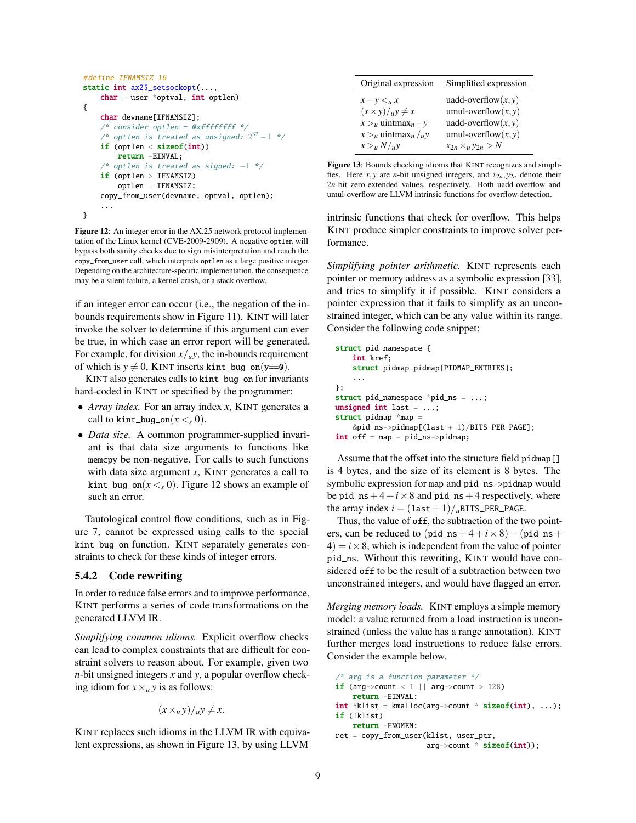```
#define IFNAMSIZ 16
static int ax25_setsockopt(...,
    char __user *optval, int optlen)
{
    char devname[IFNAMSIZ];
    /* consider optlen = 0xfffffffff */
    \mathcal{N}^* optlen is treated as unsigned: 2^{32} - 1 */
    if (optlen < sizeof(int))
        return -EINVAL;
     /* optlen is treated as signed: -1 */if (optlen > IFNAMSIZ)
        optlen = IFNAMSIZ;
    copy_from_user(devname, optval, optlen);
    ...
}
```
<span id="page-8-1"></span>Figure 12: An integer error in the AX.25 network protocol implementation of the Linux kernel (CVE-2009-2909). A negative optlen will bypass both sanity checks due to sign misinterpretation and reach the copy\_from\_user call, which interprets optlen as a large positive integer. Depending on the architecture-specific implementation, the consequence may be a silent failure, a kernel crash, or a stack overflow.

if an integer error can occur (i.e., the negation of the inbounds requirements show in [Figure 11\)](#page-7-1). KINT will later invoke the solver to determine if this argument can ever be true, in which case an error report will be generated. For example, for division  $x/u$ , the in-bounds requirement of which is  $y \neq 0$ , KINT inserts kint\_bug\_on(y==0).

KINT also generates calls to kint\_bug\_on for invariants hard-coded in KINT or specified by the programmer:

- *Array index.* For an array index *x*, KINT generates a call to kint\_bug\_on( $x < 0$ ).
- *Data size.* A common programmer-supplied invariant is that data size arguments to functions like memcpy be non-negative. For calls to such functions with data size argument *x*, KINT generates a call to kint\_bug\_on( $x <$ <sub>s</sub> 0). [Figure 12](#page-8-1) shows an example of such an error.

Tautological control flow conditions, such as in [Fig](#page-4-4)[ure 7,](#page-4-4) cannot be expressed using calls to the special kint\_bug\_on function. KINT separately generates constraints to check for these kinds of integer errors.

# <span id="page-8-0"></span>5.4.2 Code rewriting

In order to reduce false errors and to improve performance, KINT performs a series of code transformations on the generated LLVM IR.

*Simplifying common idioms.* Explicit overflow checks can lead to complex constraints that are difficult for constraint solvers to reason about. For example, given two *n*-bit unsigned integers *x* and *y*, a popular overflow checking idiom for  $x \times u y$  is as follows:

$$
(x \times_u y)/_u y \neq x.
$$

KINT replaces such idioms in the LLVM IR with equivalent expressions, as shown in [Figure 13,](#page-8-2) by using LLVM

| Original expression                 | Simplified expression        |
|-------------------------------------|------------------------------|
| $x+y\leq_u x$                       | uadd-overflow $(x, y)$       |
| $(x \times y)/_uy \neq x$           | umul-overflow $(x, y)$       |
| $x > u$ uintmax <sub>n</sub> - y    | uadd-overflow $(x, y)$       |
| $x > u$ uintmax <sub>n</sub> / $uy$ | umul-overflow $(x, y)$       |
| x > u N/u y                         | $x_{2n} \times_u y_{2n} > N$ |

<span id="page-8-2"></span>Figure 13: Bounds checking idioms that KINT recognizes and simplifies. Here *x*, *y* are *n*-bit unsigned integers, and  $x_{2n}$ ,  $y_{2n}$  denote their 2*n*-bit zero-extended values, respectively. Both uadd-overflow and umul-overflow are LLVM intrinsic functions for overflow detection.

intrinsic functions that check for overflow. This helps KINT produce simpler constraints to improve solver performance.

*Simplifying pointer arithmetic.* KINT represents each pointer or memory address as a symbolic expression [\[33\]](#page-14-33), and tries to simplify it if possible. KINT considers a pointer expression that it fails to simplify as an unconstrained integer, which can be any value within its range. Consider the following code snippet:

```
struct pid_namespace {
   int kref;
   struct pidmap pidmap[PIDMAP_ENTRIES];
    ...
};
struct pid_namespace *pid_ns = ...;
unsigned int last = \ldots;struct pidmap *map =
   &pid_ns->pidmap[(last + 1)/BITS_PER_PAGE];
int off = map - pid_ns->pidmap;
```
Assume that the offset into the structure field pidmap[] is 4 bytes, and the size of its element is 8 bytes. The symbolic expression for map and pid\_ns->pidmap would be pid\_ns  $+4+i\times8$  and pid\_ns  $+4$  respectively, where the array index  $i = (\text{last} + 1)/\text{uBITS\_PER\_PAGE}.$ 

Thus, the value of off, the subtraction of the two pointers, can be reduced to  $(pid_ns+4+i\times 8) - (pid_ns+$  $4$ ) =  $i \times 8$ , which is independent from the value of pointer pid\_ns. Without this rewriting, KINT would have considered off to be the result of a subtraction between two unconstrained integers, and would have flagged an error.

*Merging memory loads.* KINT employs a simple memory model: a value returned from a load instruction is unconstrained (unless the value has a range annotation). KINT further merges load instructions to reduce false errors. Consider the example below.

```
/* arg is a function parameter */
if (arg->count < 1 \mid | arg->count > 128)
   return -EINVAL;
int *klist = kmalloc(arg->count * sizeof(int), ...);if (!klist)
   return -ENOMEM;
ret = copy_from_user(klist, user_ptr,
                     arg->count * sizeof(int));
```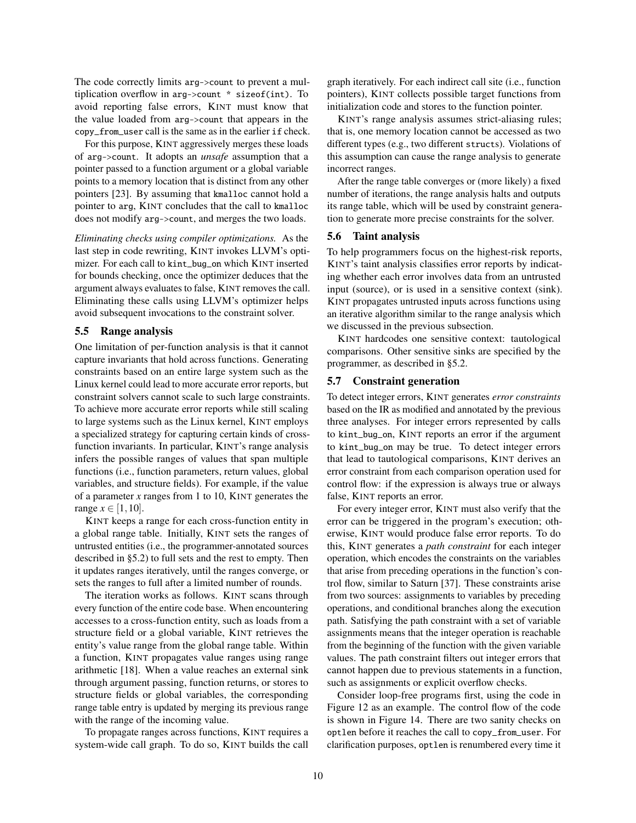The code correctly limits arg->count to prevent a multiplication overflow in arg->count \* sizeof(int). To avoid reporting false errors, KINT must know that the value loaded from arg->count that appears in the copy\_from\_user call is the same as in the earlier if check.

For this purpose, KINT aggressively merges these loads of arg->count. It adopts an *unsafe* assumption that a pointer passed to a function argument or a global variable points to a memory location that is distinct from any other pointers [\[23\]](#page-14-34). By assuming that kmalloc cannot hold a pointer to arg, KINT concludes that the call to kmalloc does not modify arg->count, and merges the two loads.

*Eliminating checks using compiler optimizations.* As the last step in code rewriting, KINT invokes LLVM's optimizer. For each call to kint\_bug\_on which KINT inserted for bounds checking, once the optimizer deduces that the argument always evaluates to false, KINT removes the call. Eliminating these calls using LLVM's optimizer helps avoid subsequent invocations to the constraint solver.

## <span id="page-9-1"></span>5.5 Range analysis

One limitation of per-function analysis is that it cannot capture invariants that hold across functions. Generating constraints based on an entire large system such as the Linux kernel could lead to more accurate error reports, but constraint solvers cannot scale to such large constraints. To achieve more accurate error reports while still scaling to large systems such as the Linux kernel, KINT employs a specialized strategy for capturing certain kinds of crossfunction invariants. In particular, KINT's range analysis infers the possible ranges of values that span multiple functions (i.e., function parameters, return values, global variables, and structure fields). For example, if the value of a parameter *x* ranges from 1 to 10, KINT generates the range *x* ∈ [1, 10].

KINT keeps a range for each cross-function entity in a global range table. Initially, KINT sets the ranges of untrusted entities (i.e., the programmer-annotated sources described in [§5.2\)](#page-6-2) to full sets and the rest to empty. Then it updates ranges iteratively, until the ranges converge, or sets the ranges to full after a limited number of rounds.

The iteration works as follows. KINT scans through every function of the entire code base. When encountering accesses to a cross-function entity, such as loads from a structure field or a global variable, KINT retrieves the entity's value range from the global range table. Within a function, KINT propagates value ranges using range arithmetic [\[18\]](#page-14-35). When a value reaches an external sink through argument passing, function returns, or stores to structure fields or global variables, the corresponding range table entry is updated by merging its previous range with the range of the incoming value.

To propagate ranges across functions, KINT requires a system-wide call graph. To do so, KINT builds the call graph iteratively. For each indirect call site (i.e., function pointers), KINT collects possible target functions from initialization code and stores to the function pointer.

KINT's range analysis assumes strict-aliasing rules; that is, one memory location cannot be accessed as two different types (e.g., two different structs). Violations of this assumption can cause the range analysis to generate incorrect ranges.

After the range table converges or (more likely) a fixed number of iterations, the range analysis halts and outputs its range table, which will be used by constraint generation to generate more precise constraints for the solver.

#### <span id="page-9-0"></span>5.6 Taint analysis

To help programmers focus on the highest-risk reports, KINT's taint analysis classifies error reports by indicating whether each error involves data from an untrusted input (source), or is used in a sensitive context (sink). KINT propagates untrusted inputs across functions using an iterative algorithm similar to the range analysis which we discussed in the previous subsection.

KINT hardcodes one sensitive context: tautological comparisons. Other sensitive sinks are specified by the programmer, as described in [§5.2.](#page-6-2)

# <span id="page-9-2"></span>5.7 Constraint generation

To detect integer errors, KINT generates *error constraints* based on the IR as modified and annotated by the previous three analyses. For integer errors represented by calls to kint\_bug\_on, KINT reports an error if the argument to kint\_bug\_on may be true. To detect integer errors that lead to tautological comparisons, KINT derives an error constraint from each comparison operation used for control flow: if the expression is always true or always false, KINT reports an error.

For every integer error, KINT must also verify that the error can be triggered in the program's execution; otherwise, KINT would produce false error reports. To do this, KINT generates a *path constraint* for each integer operation, which encodes the constraints on the variables that arise from preceding operations in the function's control flow, similar to Saturn [\[37\]](#page-14-6). These constraints arise from two sources: assignments to variables by preceding operations, and conditional branches along the execution path. Satisfying the path constraint with a set of variable assignments means that the integer operation is reachable from the beginning of the function with the given variable values. The path constraint filters out integer errors that cannot happen due to previous statements in a function, such as assignments or explicit overflow checks.

Consider loop-free programs first, using the code in [Figure 12](#page-8-1) as an example. The control flow of the code is shown in [Figure 14.](#page-10-1) There are two sanity checks on optlen before it reaches the call to copy\_from\_user. For clarification purposes, optlen is renumbered every time it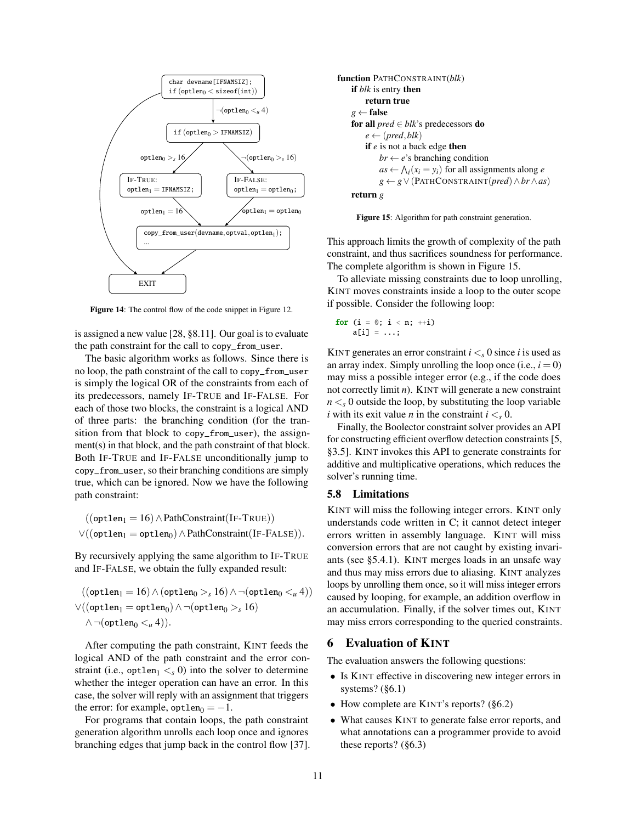

<span id="page-10-1"></span>Figure 14: The control flow of the code snippet in [Figure 12.](#page-8-1)

is assigned a new value [\[28,](#page-14-36) §8.11]. Our goal is to evaluate the path constraint for the call to copy\_from\_user.

The basic algorithm works as follows. Since there is no loop, the path constraint of the call to copy\_from\_user is simply the logical OR of the constraints from each of its predecessors, namely IF-TRUE and IF-FALSE. For each of those two blocks, the constraint is a logical AND of three parts: the branching condition (for the transition from that block to copy\_from\_user), the assignment(s) in that block, and the path constraint of that block. Both IF-TRUE and IF-FALSE unconditionally jump to copy\_from\_user, so their branching conditions are simply true, which can be ignored. Now we have the following path constraint:

 $((\text{optlen}_1 = 16) \land \text{PathConstraint}(\text{IF-TRUE}))$  $\lor ((\text{optlen}_1 = \text{optlen}_0) \land \text{PathConstraint}(\text{IF-FALSE})).$ 

By recursively applying the same algorithm to IF-TRUE and IF-FALSE, we obtain the fully expanded result:

$$
((\text{optlen}_1 = 16) \land (\text{optlen}_0 >_s 16) \land \neg(\text{optlen}_0 <_u 4))
$$
  

$$
\lor ((\text{optlen}_1 = \text{optlen}_0) \land \neg(\text{optlen}_0 >_s 16)
$$
  

$$
\land \neg(\text{optlen}_0 <_u 4)).
$$

After computing the path constraint, KINT feeds the logical AND of the path constraint and the error constraint (i.e., optlen<sub>1</sub>  $\lt s$  0) into the solver to determine whether the integer operation can have an error. In this case, the solver will reply with an assignment that triggers the error: for example,  $optlen_0 = -1$ .

For programs that contain loops, the path constraint generation algorithm unrolls each loop once and ignores branching edges that jump back in the control flow [\[37\]](#page-14-6).

```
function PATHCONSTRAINT(blk)
    if blk is entry then
        return true
    g \leftarrow false
    for all pred ∈ blk's predecessors do
        e \leftarrow (pred, blk)if e is not a back edge then
            br \leftarrow e's branching condition
             as \leftarrow \bigwedge_i (x_i = y_i) for all assignments along e
            g ← g∨(PATHCONSTRAINT(pred)∧br∧as)
    return g
```
<span id="page-10-2"></span>Figure 15: Algorithm for path constraint generation.

This approach limits the growth of complexity of the path constraint, and thus sacrifices soundness for performance. The complete algorithm is shown in [Figure 15.](#page-10-2)

To alleviate missing constraints due to loop unrolling, KINT moves constraints inside a loop to the outer scope if possible. Consider the following loop:

```
for (i = 0; i < n; ++i)a[i] = \ldots;
```
KINT generates an error constraint  $i < s$  0 since *i* is used as an array index. Simply unrolling the loop once  $(i.e.,  $i = 0$ )$ may miss a possible integer error (e.g., if the code does not correctly limit *n*). KINT will generate a new constraint  $n <sub>s</sub> 0$  outside the loop, by substituting the loop variable *i* with its exit value *n* in the constraint  $i < s$ .

Finally, the Boolector constraint solver provides an API for constructing efficient overflow detection constraints [\[5,](#page-14-37) §3.5]. KINT invokes this API to generate constraints for additive and multiplicative operations, which reduces the solver's running time.

## 5.8 Limitations

KINT will miss the following integer errors. KINT only understands code written in C; it cannot detect integer errors written in assembly language. KINT will miss conversion errors that are not caught by existing invariants (see [§5.4.1\)](#page-7-0). KINT merges loads in an unsafe way and thus may miss errors due to aliasing. KINT analyzes loops by unrolling them once, so it will miss integer errors caused by looping, for example, an addition overflow in an accumulation. Finally, if the solver times out, KINT may miss errors corresponding to the queried constraints.

# <span id="page-10-0"></span>6 Evaluation of KINT

The evaluation answers the following questions:

- Is KINT effective in discovering new integer errors in systems? ([§6.1\)](#page-11-1)
- How complete are KINT's reports?  $(\S6.2)$
- What causes KINT to generate false error reports, and what annotations can a programmer provide to avoid these reports? ([§6.3\)](#page-11-0)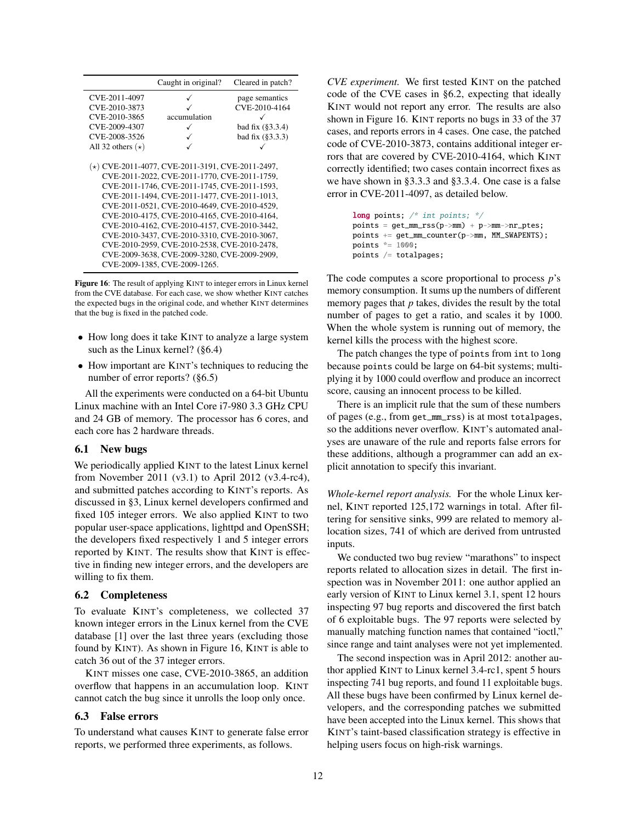|                         | Caught in original?                                                                                                                                                                                                                                                                                                                                                                                                                                                                                                                     | Cleared in patch?    |
|-------------------------|-----------------------------------------------------------------------------------------------------------------------------------------------------------------------------------------------------------------------------------------------------------------------------------------------------------------------------------------------------------------------------------------------------------------------------------------------------------------------------------------------------------------------------------------|----------------------|
| CVE-2011-4097           |                                                                                                                                                                                                                                                                                                                                                                                                                                                                                                                                         | page semantics       |
| CVE-2010-3873           |                                                                                                                                                                                                                                                                                                                                                                                                                                                                                                                                         | CVE-2010-4164        |
| CVE-2010-3865           | accumulation                                                                                                                                                                                                                                                                                                                                                                                                                                                                                                                            |                      |
| CVE-2009-4307           |                                                                                                                                                                                                                                                                                                                                                                                                                                                                                                                                         | bad fix $(§3.3.4)$   |
| CVE-2008-3526           |                                                                                                                                                                                                                                                                                                                                                                                                                                                                                                                                         | bad fix $(\S 3.3.3)$ |
| All 32 others $(\star)$ |                                                                                                                                                                                                                                                                                                                                                                                                                                                                                                                                         |                      |
|                         | $(\star)$ CVE-2011-4077, CVE-2011-3191, CVE-2011-2497,<br>CVE-2011-2022, CVE-2011-1770, CVE-2011-1759,<br>CVE-2011-1746, CVE-2011-1745, CVE-2011-1593,<br>CVE-2011-1494, CVE-2011-1477, CVE-2011-1013,<br>CVE-2011-0521, CVE-2010-4649, CVE-2010-4529,<br>CVE-2010-4175, CVE-2010-4165, CVE-2010-4164,<br>CVE-2010-4162, CVE-2010-4157, CVE-2010-3442,<br>CVE-2010-3437, CVE-2010-3310, CVE-2010-3067,<br>CVE-2010-2959, CVE-2010-2538, CVE-2010-2478,<br>CVE-2009-3638, CVE-2009-3280, CVE-2009-2909,<br>CVE-2009-1385, CVE-2009-1265. |                      |

<span id="page-11-3"></span>Figure 16: The result of applying KINT to integer errors in Linux kernel from the CVE database. For each case, we show whether KINT catches the expected bugs in the original code, and whether KINT determines that the bug is fixed in the patched code.

- How long does it take KINT to analyze a large system such as the Linux kernel? ([§6.4\)](#page-12-1)
- How important are KINT's techniques to reducing the number of error reports? ([§6.5\)](#page-12-2)

All the experiments were conducted on a 64-bit Ubuntu Linux machine with an Intel Core i7-980 3.3 GHz CPU and 24 GB of memory. The processor has 6 cores, and each core has 2 hardware threads.

#### <span id="page-11-1"></span>6.1 New bugs

We periodically applied KINT to the latest Linux kernel from November 2011 (v3.1) to April 2012 (v3.4-rc4), and submitted patches according to KINT's reports. As discussed in [§3,](#page-2-0) Linux kernel developers confirmed and fixed 105 integer errors. We also applied KINT to two popular user-space applications, lighttpd and OpenSSH; the developers fixed respectively 1 and 5 integer errors reported by KINT. The results show that KINT is effective in finding new integer errors, and the developers are willing to fix them.

## <span id="page-11-2"></span>6.2 Completeness

To evaluate KINT's completeness, we collected 37 known integer errors in the Linux kernel from the CVE database [\[1\]](#page-14-1) over the last three years (excluding those found by KINT). As shown in [Figure 16,](#page-11-3) KINT is able to catch 36 out of the 37 integer errors.

KINT misses one case, CVE-2010-3865, an addition overflow that happens in an accumulation loop. KINT cannot catch the bug since it unrolls the loop only once.

#### <span id="page-11-0"></span>6.3 False errors

To understand what causes KINT to generate false error reports, we performed three experiments, as follows.

*CVE experiment.* We first tested KINT on the patched code of the CVE cases in [§6.2,](#page-11-2) expecting that ideally KINT would not report any error. The results are also shown in [Figure 16.](#page-11-3) KINT reports no bugs in 33 of the 37 cases, and reports errors in 4 cases. One case, the patched code of CVE-2010-3873, contains additional integer errors that are covered by CVE-2010-4164, which KINT correctly identified; two cases contain incorrect fixes as we have shown in [§3.3.3](#page-4-5) and [§3.3.4.](#page-5-3) One case is a false error in CVE-2011-4097, as detailed below.

> long points; /\* int points; \*/ points = get\_mm\_rss(p->mm) + p->mm->nr\_ptes; points += get\_mm\_counter(p->mm, MM\_SWAPENTS); points \*= 1000; points /= totalpages;

The code computes a score proportional to process *p*'s memory consumption. It sums up the numbers of different memory pages that *p* takes, divides the result by the total number of pages to get a ratio, and scales it by 1000. When the whole system is running out of memory, the kernel kills the process with the highest score.

The patch changes the type of points from int to long because points could be large on 64-bit systems; multiplying it by 1000 could overflow and produce an incorrect score, causing an innocent process to be killed.

There is an implicit rule that the sum of these numbers of pages (e.g., from get\_mm\_rss) is at most totalpages, so the additions never overflow. KINT's automated analyses are unaware of the rule and reports false errors for these additions, although a programmer can add an explicit annotation to specify this invariant.

*Whole-kernel report analysis.* For the whole Linux kernel, KINT reported 125,172 warnings in total. After filtering for sensitive sinks, 999 are related to memory allocation sizes, 741 of which are derived from untrusted inputs.

We conducted two bug review "marathons" to inspect reports related to allocation sizes in detail. The first inspection was in November 2011: one author applied an early version of KINT to Linux kernel 3.1, spent 12 hours inspecting 97 bug reports and discovered the first batch of 6 exploitable bugs. The 97 reports were selected by manually matching function names that contained "ioctl," since range and taint analyses were not yet implemented.

The second inspection was in April 2012: another author applied KINT to Linux kernel 3.4-rc1, spent 5 hours inspecting 741 bug reports, and found 11 exploitable bugs. All these bugs have been confirmed by Linux kernel developers, and the corresponding patches we submitted have been accepted into the Linux kernel. This shows that KINT's taint-based classification strategy is effective in helping users focus on high-risk warnings.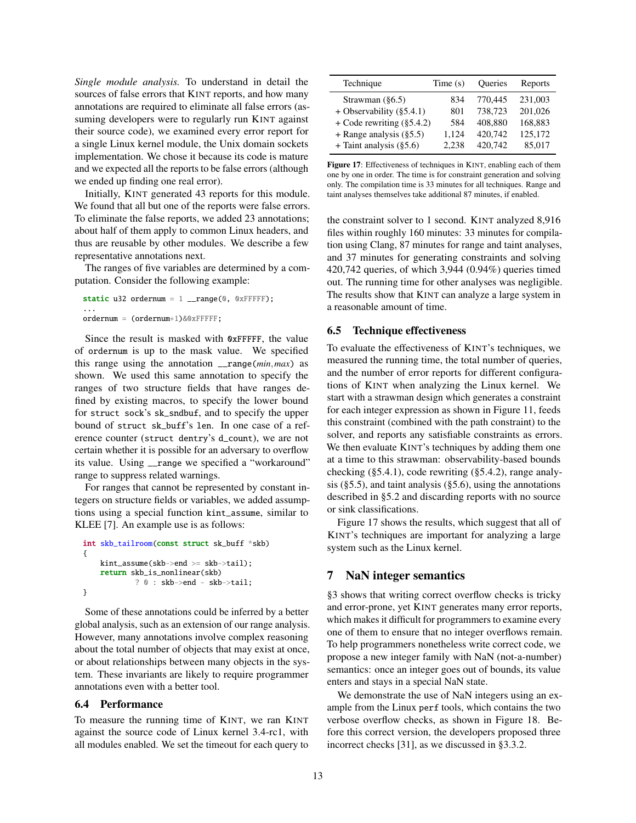*Single module analysis.* To understand in detail the sources of false errors that KINT reports, and how many annotations are required to eliminate all false errors (assuming developers were to regularly run KINT against their source code), we examined every error report for a single Linux kernel module, the Unix domain sockets implementation. We chose it because its code is mature and we expected all the reports to be false errors (although we ended up finding one real error).

Initially, KINT generated 43 reports for this module. We found that all but one of the reports were false errors. To eliminate the false reports, we added 23 annotations; about half of them apply to common Linux headers, and thus are reusable by other modules. We describe a few representative annotations next.

The ranges of five variables are determined by a computation. Consider the following example:

```
static u32 ordernum = 1 _range(0, 0xFFFFF);
...
ordernum = (ordernum+1)&0xFFFFF;
```
Since the result is masked with 0xFFFFF, the value of ordernum is up to the mask value. We specified this range using the annotation \_\_range(*min*,*max*) as shown. We used this same annotation to specify the ranges of two structure fields that have ranges defined by existing macros, to specify the lower bound for struct sock's sk\_sndbuf, and to specify the upper bound of struct sk\_buff's len. In one case of a reference counter (struct dentry's d\_count), we are not certain whether it is possible for an adversary to overflow its value. Using \_\_range we specified a "workaround" range to suppress related warnings.

For ranges that cannot be represented by constant integers on structure fields or variables, we added assumptions using a special function kint\_assume, similar to KLEE [\[7\]](#page-14-7). An example use is as follows:

```
int skb_tailroom(const struct sk_buff *skb)
{
    kint assume(skb->end >= skb->tail):
    return skb_is_nonlinear(skb)
           ? 0 : skb->end - skb->tail;
}
```
Some of these annotations could be inferred by a better global analysis, such as an extension of our range analysis. However, many annotations involve complex reasoning about the total number of objects that may exist at once, or about relationships between many objects in the system. These invariants are likely to require programmer annotations even with a better tool.

#### <span id="page-12-1"></span>6.4 Performance

To measure the running time of KINT, we ran KINT against the source code of Linux kernel 3.4-rc1, with all modules enabled. We set the timeout for each query to

| Technique                    | Time(s) | Queries | Reports |
|------------------------------|---------|---------|---------|
| Strawman $(\S6.5)$           | 834     | 770,445 | 231,003 |
| + Observability $(\S 5.4.1)$ | 801     | 738,723 | 201,026 |
| + Code rewriting $(\$5.4.2)$ | 584     | 408.880 | 168,883 |
| $+$ Range analysis (§5.5)    | 1,124   | 420,742 | 125,172 |
| + Taint analysis $(\S 5.6)$  | 2.238   | 420.742 | 85,017  |

<span id="page-12-3"></span>Figure 17: Effectiveness of techniques in KINT, enabling each of them one by one in order. The time is for constraint generation and solving only. The compilation time is 33 minutes for all techniques. Range and taint analyses themselves take additional 87 minutes, if enabled.

the constraint solver to 1 second. KINT analyzed 8,916 files within roughly 160 minutes: 33 minutes for compilation using Clang, 87 minutes for range and taint analyses, and 37 minutes for generating constraints and solving 420,742 queries, of which 3,944 (0.94%) queries timed out. The running time for other analyses was negligible. The results show that KINT can analyze a large system in a reasonable amount of time.

#### <span id="page-12-2"></span>6.5 Technique effectiveness

To evaluate the effectiveness of KINT's techniques, we measured the running time, the total number of queries, and the number of error reports for different configurations of KINT when analyzing the Linux kernel. We start with a strawman design which generates a constraint for each integer expression as shown in [Figure 11,](#page-7-1) feeds this constraint (combined with the path constraint) to the solver, and reports any satisfiable constraints as errors. We then evaluate KINT's techniques by adding them one at a time to this strawman: observability-based bounds checking ([§5.4.1\)](#page-7-0), code rewriting ([§5.4.2\)](#page-8-0), range analysis ( $\S$ 5.5), and taint analysis ( $\S$ 5.6), using the annotations described in [§5.2](#page-6-2) and discarding reports with no source or sink classifications.

[Figure 17](#page-12-3) shows the results, which suggest that all of KINT's techniques are important for analyzing a large system such as the Linux kernel.

#### <span id="page-12-0"></span>7 NaN integer semantics

[§3](#page-2-0) shows that writing correct overflow checks is tricky and error-prone, yet KINT generates many error reports, which makes it difficult for programmers to examine every one of them to ensure that no integer overflows remain. To help programmers nonetheless write correct code, we propose a new integer family with NaN (not-a-number) semantics: once an integer goes out of bounds, its value enters and stays in a special NaN state.

We demonstrate the use of NaN integers using an example from the Linux perf tools, which contains the two verbose overflow checks, as shown in [Figure 18.](#page-13-1) Before this correct version, the developers proposed three incorrect checks [\[31\]](#page-14-27), as we discussed in [§3.3.2.](#page-4-6)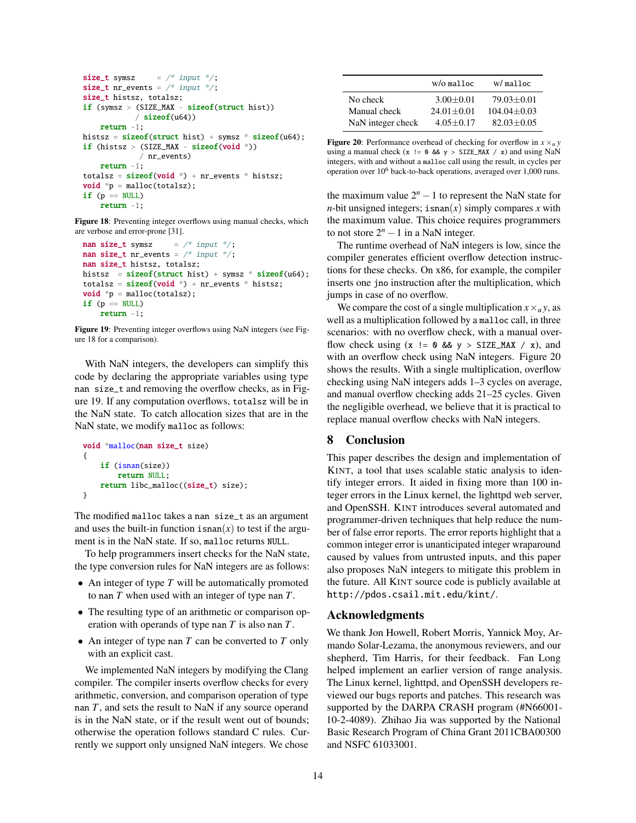```
size_t symsz = /* input */;
size_t nr_events = /* input */;
size_t histsz, totalsz;
if (symsz > (SIZE_MAX - sizeof(struct hist))
            / sizeof(u64))return -1;
histsz = sizeof(struct hist) + symsz * sizeof(u64);if (histsz > (SIZE_MAX - sizeof(void *))
            / nr_events)
    return -1;
totalsz = sizef(void * ) + nr_events * hitsz;void *p = malloc(totalsz);
if (p == NULL)return -1;
```
<span id="page-13-1"></span>Figure 18: Preventing integer overflows using manual checks, which are verbose and error-prone [\[31\]](#page-14-27).

```
nan size_t symsz = /* input */;
nan size_t nr_events = /* input */;
nan size_t histsz, totalsz;
histsz = sizeof(struct hist) + symsz * sizeof(uf64);totalsz = sizef(void * ) + nr_events * hitsz;void *_{p} = malloc(totalsz);
if (p == NULL)return -1;
```
<span id="page-13-2"></span>Figure 19: Preventing integer overflows using NaN integers (see [Fig](#page-13-1)[ure 18](#page-13-1) for a comparison).

With NaN integers, the developers can simplify this code by declaring the appropriate variables using type nan size\_t and removing the overflow checks, as in [Fig](#page-13-2)[ure 19.](#page-13-2) If any computation overflows, totalsz will be in the NaN state. To catch allocation sizes that are in the NaN state, we modify malloc as follows:

```
void *malloc(nan size_t size)
{
    if (isnan(size))
        return NULL;
    return libc_malloc((size_t) size);
}
```
The modified malloc takes a nan size\_t as an argument and uses the built-in function  $\text{isnan}(x)$  to test if the argument is in the NaN state. If so, malloc returns NULL.

To help programmers insert checks for the NaN state, the type conversion rules for NaN integers are as follows:

- An integer of type *T* will be automatically promoted to nan *T* when used with an integer of type nan *T*.
- The resulting type of an arithmetic or comparison operation with operands of type nan *T* is also nan *T*.
- An integer of type nan *T* can be converted to *T* only with an explicit cast.

We implemented NaN integers by modifying the Clang compiler. The compiler inserts overflow checks for every arithmetic, conversion, and comparison operation of type nan *T*, and sets the result to NaN if any source operand is in the NaN state, or if the result went out of bounds; otherwise the operation follows standard C rules. Currently we support only unsigned NaN integers. We chose

|                   | $W/O$ malloc   | W/malloc        |
|-------------------|----------------|-----------------|
| No check          | $3.00 + 0.01$  | $79.03 + 0.01$  |
| Manual check      | $24.01 + 0.01$ | $104.04 + 0.03$ |
| NaN integer check | $4.05 + 0.17$  | $82.03 + 0.05$  |

<span id="page-13-3"></span>Figure 20: Performance overhead of checking for overflow in  $x \times u$  *y* using a manual check  $(x := 0 \& y > SIZE\_MAX / x)$  and using NaN integers, with and without a malloc call using the result, in cycles per operation over 10<sup>6</sup> back-to-back operations, averaged over 1,000 runs.

the maximum value  $2^n - 1$  to represent the NaN state for *n*-bit unsigned integers; isnan(*x*) simply compares *x* with the maximum value. This choice requires programmers to not store  $2^n - 1$  in a NaN integer.

The runtime overhead of NaN integers is low, since the compiler generates efficient overflow detection instructions for these checks. On x86, for example, the compiler inserts one jno instruction after the multiplication, which jumps in case of no overflow.

We compare the cost of a single multiplication  $x \times u y$ , as well as a multiplication followed by a malloc call, in three scenarios: with no overflow check, with a manual overflow check using  $(x := 0 \& y > SIZE\_MAX / x)$ , and with an overflow check using NaN integers. [Figure 20](#page-13-3) shows the results. With a single multiplication, overflow checking using NaN integers adds 1–3 cycles on average, and manual overflow checking adds 21–25 cycles. Given the negligible overhead, we believe that it is practical to replace manual overflow checks with NaN integers.

# <span id="page-13-0"></span>8 Conclusion

This paper describes the design and implementation of KINT, a tool that uses scalable static analysis to identify integer errors. It aided in fixing more than 100 integer errors in the Linux kernel, the lighttpd web server, and OpenSSH. KINT introduces several automated and programmer-driven techniques that help reduce the number of false error reports. The error reports highlight that a common integer error is unanticipated integer wraparound caused by values from untrusted inputs, and this paper also proposes NaN integers to mitigate this problem in the future. All KINT source code is publicly available at <http://pdos.csail.mit.edu/kint/>.

# Acknowledgments

We thank Jon Howell, Robert Morris, Yannick Moy, Armando Solar-Lezama, the anonymous reviewers, and our shepherd, Tim Harris, for their feedback. Fan Long helped implement an earlier version of range analysis. The Linux kernel, lighttpd, and OpenSSH developers reviewed our bugs reports and patches. This research was supported by the DARPA CRASH program (#N66001- 10-2-4089). Zhihao Jia was supported by the National Basic Research Program of China Grant 2011CBA00300 and NSFC 61033001.